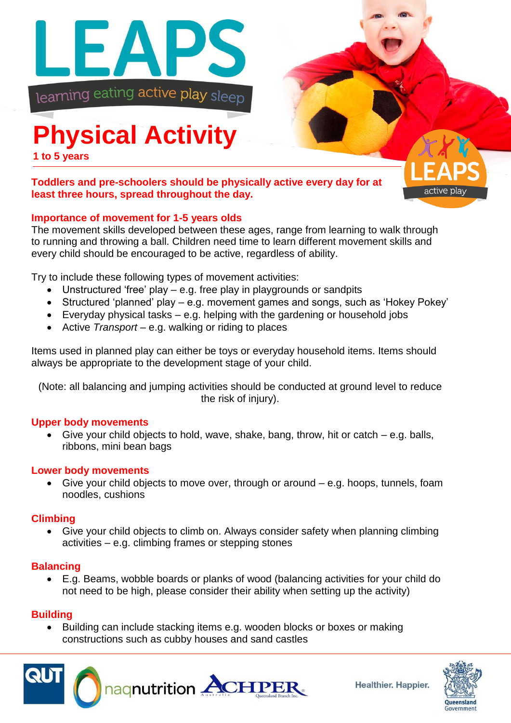

# **Physical Activity**

**1 to 5 years**

# **Toddlers and pre-schoolers should be physically active every day for at least three hours, spread throughout the day.**

# **Importance of movement for 1-5 years olds**

The movement skills developed between these ages, range from learning to walk through to running and throwing a ball. Children need time to learn different movement skills and every child should be encouraged to be active, regardless of ability.

Try to include these following types of movement activities:

- Unstructured 'free' play e.g. free play in playgrounds or sandpits
- Structured 'planned' play e.g. movement games and songs, such as 'Hokey Pokey'
- Everyday physical tasks e.g. helping with the gardening or household jobs
- Active *Transport* e.g. walking or riding to places

Items used in planned play can either be toys or everyday household items. Items should always be appropriate to the development stage of your child.

(Note: all balancing and jumping activities should be conducted at ground level to reduce the risk of injury).

#### **Upper body movements**

 Give your child objects to hold, wave, shake, bang, throw, hit or catch – e.g. balls, ribbons, mini bean bags

#### **Lower body movements**

 Give your child objects to move over, through or around – e.g. hoops, tunnels, foam noodles, cushions

# **Climbing**

 Give your child objects to climb on. Always consider safety when planning climbing activities – e.g. climbing frames or stepping stones

#### **Balancing**

 E.g. Beams, wobble boards or planks of wood (balancing activities for your child do not need to be high, please consider their ability when setting up the activity)

# **Building**

• Building can include stacking items e.g. wooden blocks or boxes or making constructions such as cubby houses and sand castles